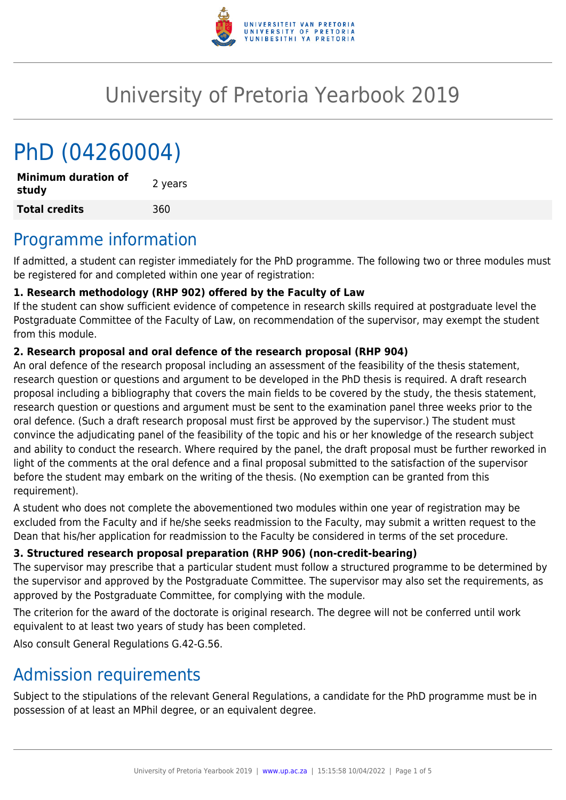

# University of Pretoria Yearbook 2019

# PhD (04260004)

**Minimum duration of study and the study 2** years **Total credits** 360

# Programme information

If admitted, a student can register immediately for the PhD programme. The following two or three modules must be registered for and completed within one year of registration:

# **1. Research methodology (RHP 902) offered by the Faculty of Law**

If the student can show sufficient evidence of competence in research skills required at postgraduate level the Postgraduate Committee of the Faculty of Law, on recommendation of the supervisor, may exempt the student from this module.

## **2. Research proposal and oral defence of the research proposal (RHP 904)**

An oral defence of the research proposal including an assessment of the feasibility of the thesis statement, research question or questions and argument to be developed in the PhD thesis is required. A draft research proposal including a bibliography that covers the main fields to be covered by the study, the thesis statement, research question or questions and argument must be sent to the examination panel three weeks prior to the oral defence. (Such a draft research proposal must first be approved by the supervisor.) The student must convince the adjudicating panel of the feasibility of the topic and his or her knowledge of the research subject and ability to conduct the research. Where required by the panel, the draft proposal must be further reworked in light of the comments at the oral defence and a final proposal submitted to the satisfaction of the supervisor before the student may embark on the writing of the thesis. (No exemption can be granted from this requirement).

A student who does not complete the abovementioned two modules within one year of registration may be excluded from the Faculty and if he/she seeks readmission to the Faculty, may submit a written request to the Dean that his/her application for readmission to the Faculty be considered in terms of the set procedure.

# **3. Structured research proposal preparation (RHP 906) (non-credit-bearing)**

The supervisor may prescribe that a particular student must follow a structured programme to be determined by the supervisor and approved by the Postgraduate Committee. The supervisor may also set the requirements, as approved by the Postgraduate Committee, for complying with the module.

The criterion for the award of the doctorate is original research. The degree will not be conferred until work equivalent to at least two years of study has been completed.

Also consult General Regulations G.42-G.56.

# Admission requirements

Subject to the stipulations of the relevant General Regulations, a candidate for the PhD programme must be in possession of at least an MPhil degree, or an equivalent degree.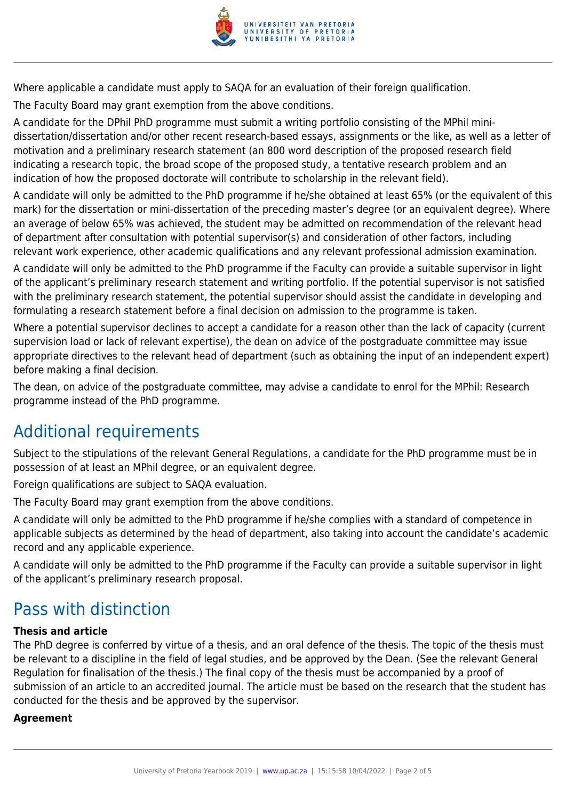

Where applicable a candidate must apply to SAQA for an evaluation of their foreign qualification.

The Faculty Board may grant exemption from the above conditions.

A candidate for the DPhil PhD programme must submit a writing portfolio consisting of the MPhil minidissertation/dissertation and/or other recent research-based essays, assignments or the like, as well as a letter of motivation and a preliminary research statement (an 800 word description of the proposed research field indicating a research topic, the broad scope of the proposed study, a tentative research problem and an indication of how the proposed doctorate will contribute to scholarship in the relevant field).

A candidate will only be admitted to the PhD programme if he/she obtained at least 65% (or the equivalent of this mark) for the dissertation or mini-dissertation of the preceding master's degree (or an equivalent degree). Where an average of below 65% was achieved, the student may be admitted on recommendation of the relevant head of department after consultation with potential supervisor(s) and consideration of other factors, including relevant work experience, other academic qualifications and any relevant professional admission examination.

A candidate will only be admitted to the PhD programme if the Faculty can provide a suitable supervisor in light of the applicant's preliminary research statement and writing portfolio. If the potential supervisor is not satisfied with the preliminary research statement, the potential supervisor should assist the candidate in developing and formulating a research statement before a final decision on admission to the programme is taken.

Where a potential supervisor declines to accept a candidate for a reason other than the lack of capacity (current supervision load or lack of relevant expertise), the dean on advice of the postgraduate committee may issue appropriate directives to the relevant head of department (such as obtaining the input of an independent expert) before making a final decision.

The dean, on advice of the postgraduate committee, may advise a candidate to enrol for the MPhil: Research programme instead of the PhD programme.

# Additional requirements

Subject to the stipulations of the relevant General Regulations, a candidate for the PhD programme must be in possession of at least an MPhil degree, or an equivalent degree.

Foreign qualifications are subject to SAQA evaluation.

The Faculty Board may grant exemption from the above conditions.

A candidate will only be admitted to the PhD programme if he/she complies with a standard of competence in applicable subjects as determined by the head of department, also taking into account the candidate's academic record and any applicable experience.

A candidate will only be admitted to the PhD programme if the Faculty can provide a suitable supervisor in light of the applicant's preliminary research proposal.

# Pass with distinction

# **Thesis and article**

The PhD degree is conferred by virtue of a thesis, and an oral defence of the thesis. The topic of the thesis must be relevant to a discipline in the field of legal studies, and be approved by the Dean. (See the relevant General Regulation for finalisation of the thesis.) The final copy of the thesis must be accompanied by a proof of submission of an article to an accredited journal. The article must be based on the research that the student has conducted for the thesis and be approved by the supervisor.

### **Agreement**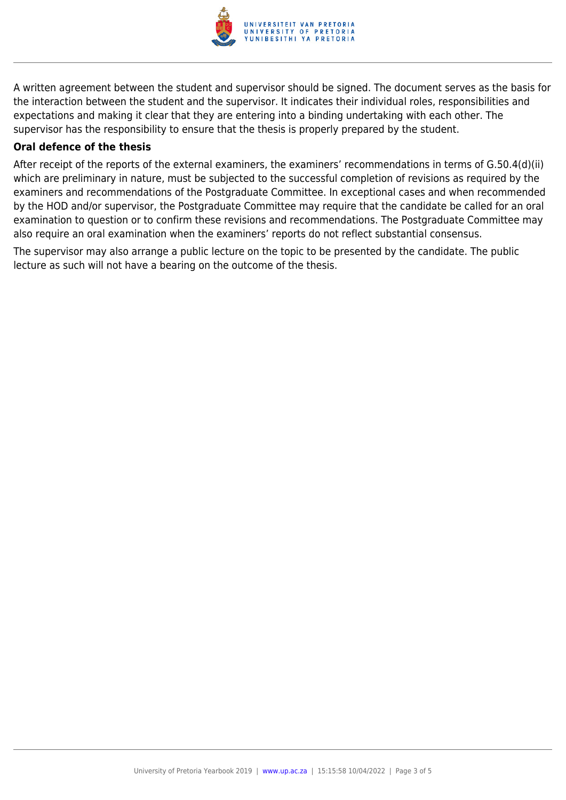

A written agreement between the student and supervisor should be signed. The document serves as the basis for the interaction between the student and the supervisor. It indicates their individual roles, responsibilities and expectations and making it clear that they are entering into a binding undertaking with each other. The supervisor has the responsibility to ensure that the thesis is properly prepared by the student.

### **Oral defence of the thesis**

After receipt of the reports of the external examiners, the examiners' recommendations in terms of G.50.4(d)(ii) which are preliminary in nature, must be subjected to the successful completion of revisions as required by the examiners and recommendations of the Postgraduate Committee. In exceptional cases and when recommended by the HOD and/or supervisor, the Postgraduate Committee may require that the candidate be called for an oral examination to question or to confirm these revisions and recommendations. The Postgraduate Committee may also require an oral examination when the examiners' reports do not reflect substantial consensus.

The supervisor may also arrange a public lecture on the topic to be presented by the candidate. The public lecture as such will not have a bearing on the outcome of the thesis.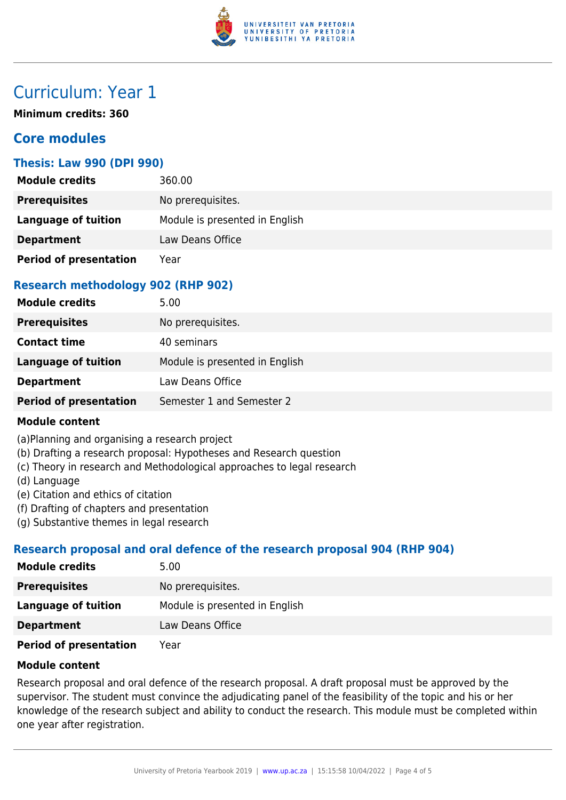

# Curriculum: Year 1

**Minimum credits: 360**

# **Core modules**

## **Thesis: Law 990 (DPI 990)**

| <b>Module credits</b>         | 360.00                         |
|-------------------------------|--------------------------------|
| <b>Prerequisites</b>          | No prerequisites.              |
| Language of tuition           | Module is presented in English |
| <b>Department</b>             | Law Deans Office               |
| <b>Period of presentation</b> | Year                           |

# **Research methodology 902 (RHP 902)**

| <b>Module credits</b>         | 5.00                           |
|-------------------------------|--------------------------------|
| <b>Prerequisites</b>          | No prerequisites.              |
| <b>Contact time</b>           | 40 seminars                    |
| <b>Language of tuition</b>    | Module is presented in English |
| <b>Department</b>             | Law Deans Office               |
| <b>Period of presentation</b> | Semester 1 and Semester 2      |

### **Module content**

(a)Planning and organising a research project

- (b) Drafting a research proposal: Hypotheses and Research question
- (c) Theory in research and Methodological approaches to legal research
- (d) Language
- (e) Citation and ethics of citation
- (f) Drafting of chapters and presentation
- (g) Substantive themes in legal research

# **Research proposal and oral defence of the research proposal 904 (RHP 904)**

| <b>Module credits</b>  | 5.00                           |
|------------------------|--------------------------------|
| <b>Prerequisites</b>   | No prerequisites.              |
| Language of tuition    | Module is presented in English |
| <b>Department</b>      | Law Deans Office               |
| Doriad of procontation | Voor                           |

**Period of presentation** Year

## **Module content**

Research proposal and oral defence of the research proposal. A draft proposal must be approved by the supervisor. The student must convince the adjudicating panel of the feasibility of the topic and his or her knowledge of the research subject and ability to conduct the research. This module must be completed within one year after registration.